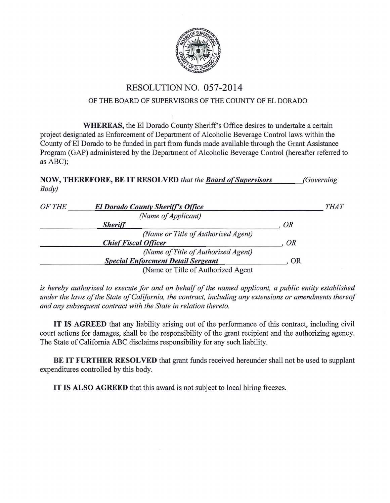

## RESOLUTION NO. 057-2014

## OF THE BOARD OF SUPERVISORS OF THE COUNTY OF EL DORADO

WHEREAS, the El Dorado County Sheriff's Office desires to undertake a certain project designated as Enforcement of Department of Alcoholic Beverage Control laws within the County of El Dorado to be funded in part from funds made available through the Grant Assistance Program (GAP) administered by the Department of Alcoholic Beverage Control (hereafter referred to as ABC);

NOW, THEREFORE, BE IT RESOLVED *that the Board of Supervisors Body) (Governing* 

| OF THE<br><b>El Dorado County Sheriff's Office</b> | <b>THAT</b> |
|----------------------------------------------------|-------------|
| (Name of Applicant)                                |             |
| <b>Sheriff</b>                                     | OR          |
| (Name or Title of Authorized Agent)                |             |
| <b>Chief Fiscal Officer</b>                        | OR          |
| (Name of Title of Authorized Agent)                |             |
| <b>Special Enforcment Detail Sergeant</b>          | <b>OR</b>   |
| (Name or Title of Authorized Agent)                |             |

*is hereby authorized to execute for and on behalf of the named applicant, a public entity established under the laws of the State of California, the contract, including any extensions or amendments thereof and any subsequent contract with the State in relation thereto.* 

IT IS AGREED that any liability arising out of the performance of this contract, including civil court actions for damages, shall be the responsibility of the grant recipient and the authorizing agency. The State of California ABC disclaims responsibility for any such liability.

BE IT FURTHER RESOLVED that grant funds received hereunder shall not be used to supplant expenditures controlled by this body.

IT IS ALSO AGREED that this award is not subject to local hiring freezes.